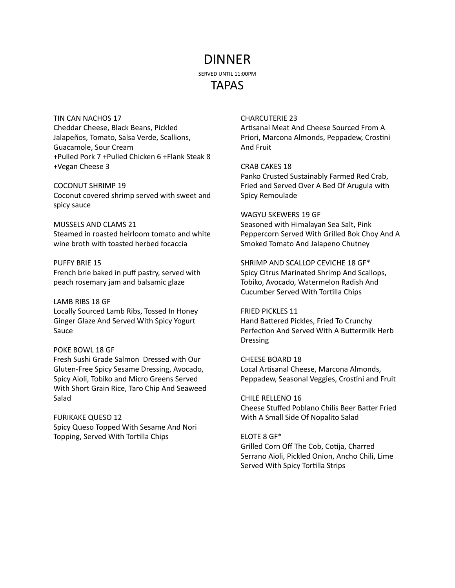# DINNER

SERVED UNTIL 11:00PM

# TAPAS

TIN CAN NACHOS 17 Cheddar Cheese, Black Beans, Pickled Jalapeños, Tomato, Salsa Verde, Scallions, Guacamole, Sour Cream +Pulled Pork 7 +Pulled Chicken 6 +Flank Steak 8 +Vegan Cheese 3

COCONUT SHRIMP 19 Coconut covered shrimp served with sweet and spicy sauce

MUSSELS AND CLAMS 21 Steamed in roasted heirloom tomato and white wine broth with toasted herbed focaccia

#### PUFFY BRIE 15 French brie baked in puff pastry, served with peach rosemary jam and balsamic glaze

LAMB RIBS 18 GF Locally Sourced Lamb Ribs, Tossed In Honey Ginger Glaze And Served With Spicy Yogurt Sauce

## POKE BOWL 18 GF

Fresh Sushi Grade Salmon Dressed with Our Gluten-Free Spicy Sesame Dressing, Avocado, Spicy Aioli, Tobiko and Micro Greens Served With Short Grain Rice, Taro Chip And Seaweed Salad

## FURIKAKE QUESO 12

Spicy Queso Topped With Sesame And Nori Topping, Served With Tortilla Chips

## CHARCUTERIE 23

Artisanal Meat And Cheese Sourced From A Priori, Marcona Almonds, Peppadew, Crostini And Fruit

CRAB CAKES 18

Panko Crusted Sustainably Farmed Red Crab, Fried and Served Over A Bed Of Arugula with Spicy Remoulade

#### WAGYU SKEWERS 19 GF

Seasoned with Himalayan Sea Salt, Pink Peppercorn Served With Grilled Bok Choy And A Smoked Tomato And Jalapeno Chutney

SHRIMP AND SCALLOP CEVICHE 18 GF\* Spicy Citrus Marinated Shrimp And Scallops, Tobiko, Avocado, Watermelon Radish And Cucumber Served With Tortilla Chips

#### FRIED PICKLES 11

Hand Battered Pickles, Fried To Crunchy Perfection And Served With A Buttermilk Herb Dressing

CHEESE BOARD 18 Local Artisanal Cheese, Marcona Almonds, Peppadew, Seasonal Veggies, Crostini and Fruit

## CHILE RELLENO 16

Cheese Stuffed Poblano Chilis Beer Batter Fried With A Small Side Of Nopalito Salad

#### ELOTE 8 GF\*

Grilled Corn Off The Cob, Cotija, Charred Serrano Aioli, Pickled Onion, Ancho Chili, Lime Served With Spicy Tortilla Strips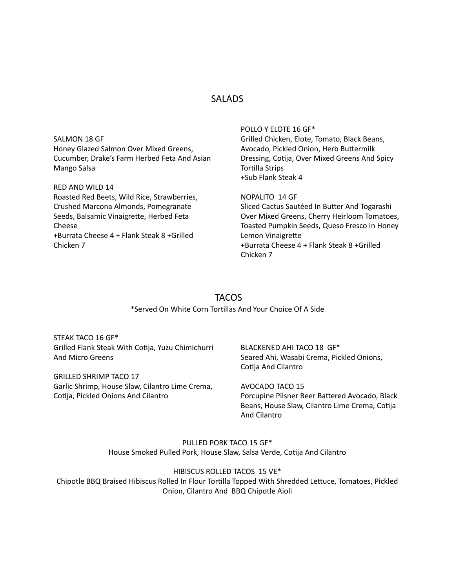# **SALADS**

|                                              | POLLO Y ELOTE 16 GF*                          |
|----------------------------------------------|-----------------------------------------------|
| SALMON 18 GF                                 | Grilled Chicken, Elote, Tomato, Black Beans,  |
| Honey Glazed Salmon Over Mixed Greens,       | Avocado, Pickled Onion, Herb Buttermilk       |
| Cucumber, Drake's Farm Herbed Feta And Asian | Dressing, Cotija, Over Mixed Greens And Spicy |
| Mango Salsa                                  | <b>Tortilla Strips</b>                        |
|                                              | +Sub Flank Steak 4                            |
| RED AND WILD 14                              |                                               |
| Roasted Red Beets, Wild Rice, Strawberries,  | NOPALITO 14 GF                                |
| Crushed Marcona Almonds, Pomegranate         | Sliced Cactus Sautéed In Butter And Togarashi |
| Seeds, Balsamic Vinaigrette, Herbed Feta     | Over Mixed Greens, Cherry Heirloom Tomatoes,  |
| Cheese                                       | Toasted Pumpkin Seeds, Queso Fresco In Honey  |
| +Burrata Cheese 4 + Flank Steak 8 +Grilled   | Lemon Vinaigrette                             |
| Chicken 7                                    | +Burrata Cheese 4 + Flank Steak 8 +Grilled    |
|                                              | Chicken 7                                     |

# **TACOS** \*Served On White Corn Tortillas And Your Choice Of A Side

STEAK TACO 16 GF\* Grilled Flank Steak With Cotija, Yuzu Chimichurri And Micro Greens

GRILLED SHRIMP TACO 17 Garlic Shrimp, House Slaw, Cilantro Lime Crema, Cotija, Pickled Onions And Cilantro

BLACKENED AHI TACO 18 GF\* Seared Ahi, Wasabi Crema, Pickled Onions, Cotija And Cilantro

AVOCADO TACO 15 Porcupine Pilsner Beer Battered Avocado, Black Beans, House Slaw, Cilantro Lime Crema, Cotija And Cilantro

PULLED PORK TACO 15 GF\* House Smoked Pulled Pork, House Slaw, Salsa Verde, Cotija And Cilantro

HIBISCUS ROLLED TACOS 15 VE\* Chipotle BBQ Braised Hibiscus Rolled In Flour Tortilla Topped With Shredded Lettuce, Tomatoes, Pickled Onion, Cilantro And BBQ Chipotle Aioli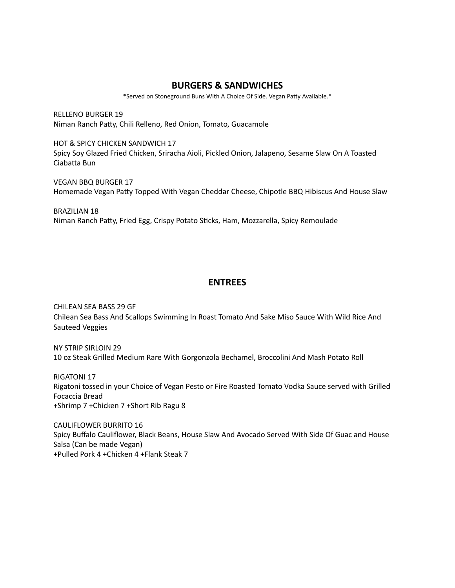# **BURGERS & SANDWICHES**

\*Served on Stoneground Buns With A Choice Of Side. Vegan Patty Available.\*

RELLENO BURGER 19 Niman Ranch Patty, Chili Relleno, Red Onion, Tomato, Guacamole

HOT & SPICY CHICKEN SANDWICH 17 Spicy Soy Glazed Fried Chicken, Sriracha Aioli, Pickled Onion, Jalapeno, Sesame Slaw On A Toasted Ciabatta Bun

VEGAN BBQ BURGER 17 Homemade Vegan Patty Topped With Vegan Cheddar Cheese, Chipotle BBQ Hibiscus And House Slaw

BRAZILIAN 18 Niman Ranch Patty, Fried Egg, Crispy Potato Sticks, Ham, Mozzarella, Spicy Remoulade

# **ENTREES**

CHILEAN SEA BASS 29 GF Chilean Sea Bass And Scallops Swimming In Roast Tomato And Sake Miso Sauce With Wild Rice And Sauteed Veggies

NY STRIP SIRLOIN 29 10 oz Steak Grilled Medium Rare With Gorgonzola Bechamel, Broccolini And Mash Potato Roll

RIGATONI 17 Rigatoni tossed in your Choice of Vegan Pesto or Fire Roasted Tomato Vodka Sauce served with Grilled Focaccia Bread +Shrimp 7 +Chicken 7 +Short Rib Ragu 8

CAULIFLOWER BURRITO 16 Spicy Buffalo Cauliflower, Black Beans, House Slaw And Avocado Served With Side Of Guac and House Salsa (Can be made Vegan) +Pulled Pork 4 +Chicken 4 +Flank Steak 7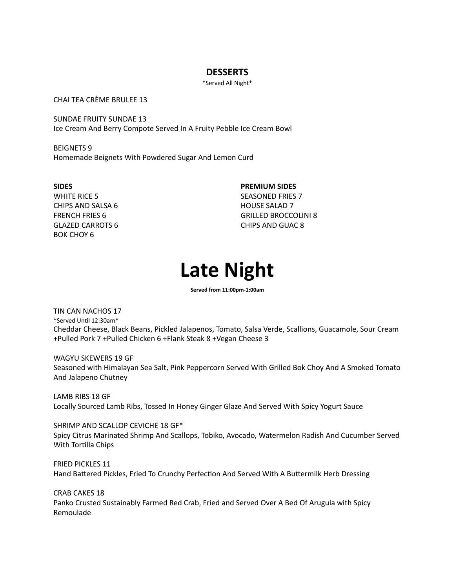# **DESSERTS**

\*Served All Night\*

CHAI TEA CRÈME BRULEE 13

SUNDAE FRUITY SUNDAE 13 Ice Cream And Berry Compote Served In A Fruity Pebble Ice Cream Bowl

BEIGNETS 9 Homemade Beignets With Powdered Sugar And Lemon Curd

**SIDES** WHITE RICE 5 CHIPS AND SALSA 6 FRENCH FRIES 6 GLAZED CARROTS 6 BOK CHOY 6

**PREMIUM SIDES** SEASONED FRIES 7 HOUSE SALAD 7 GRILLED BROCCOLINI 8

CHIPS AND GUAC 8

**Late Night**

**Served from 11:00pm-1:00am**

TIN CAN NACHOS 17 \*Served Until 12:30am\* Cheddar Cheese, Black Beans, Pickled Jalapenos, Tomato, Salsa Verde, Scallions, Guacamole, Sour Cream +Pulled Pork 7 +Pulled Chicken 6 +Flank Steak 8 +Vegan Cheese 3

WAGYU SKEWERS 19 GF Seasoned with Himalayan Sea Salt, Pink Peppercorn Served With Grilled Bok Choy And A Smoked Tomato And Jalapeno Chutney

LAMB RIBS 18 GF Locally Sourced Lamb Ribs, Tossed In Honey Ginger Glaze And Served With Spicy Yogurt Sauce

SHRIMP AND SCALLOP CEVICHE 18 GF\* Spicy Citrus Marinated Shrimp And Scallops, Tobiko, Avocado, Watermelon Radish And Cucumber Served With Tortilla Chips

FRIED PICKLES 11 Hand Battered Pickles, Fried To Crunchy Perfection And Served With A Buttermilk Herb Dressing

CRAB CAKES 18 Panko Crusted Sustainably Farmed Red Crab, Fried and Served Over A Bed Of Arugula with Spicy Remoulade